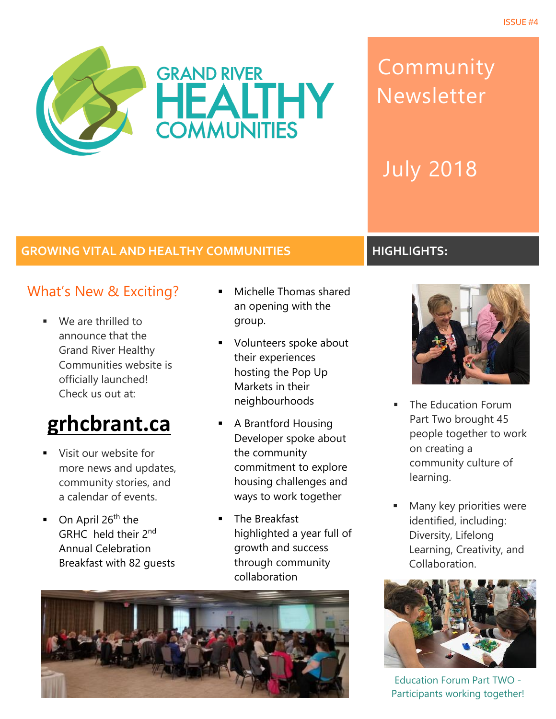

# Community Newsletter

July 2018

#### **GROWING VITAL AND HEALTHY COMMUNITIES HIGHLIGHTS:**

### What's New & Exciting?

■ We are thrilled to announce that the Grand River Healthy Communities website is officially launched! Check us out at:

# **[grhcbrant.ca](http://grhcbrant.ca/)**

- Visit our website for more news and updates, community stories, and a calendar of events.
- On April 26<sup>th</sup> the GRHC held their 2nd Annual Celebration Breakfast with 82 guests
- Michelle Thomas shared an opening with the group.
- Volunteers spoke about their experiences hosting the Pop Up Markets in their neighbourhoods
- A Brantford Housing Developer spoke about the community commitment to explore housing challenges and ways to work together
- The Breakfast highlighted a year full of growth and success through community collaboration





- The Education Forum Part Two brought 45 people together to work on creating a community culture of learning.
- Many key priorities were identified, including: Diversity, Lifelong Learning, Creativity, and Collaboration.



Education Forum Part TWO - Participants working together!